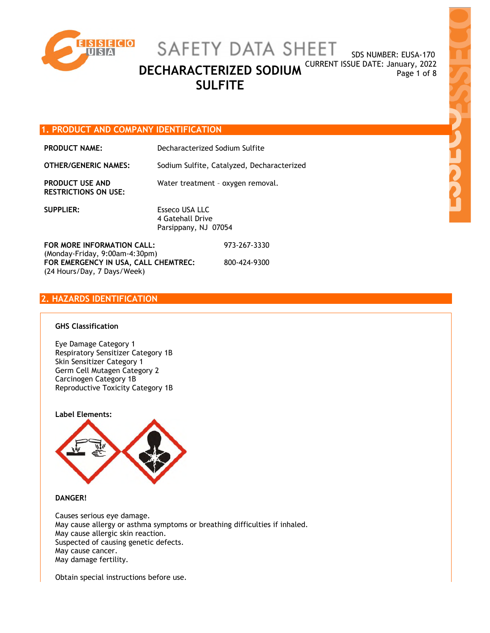

SDS NUMBER: EUSA-170

**DECHARACTERIZED SODIUM** CURRENT ISSUE DATE: January, 2022 **SULFITE** 

# **1. PRODUCT AND COMPANY IDENTIFICATION**

| <b>PRODUCT NAME:</b>                                  | Decharacterized Sodium Sulfite                             |
|-------------------------------------------------------|------------------------------------------------------------|
| <b>OTHER/GENERIC NAMES:</b>                           | Sodium Sulfite, Catalyzed, Decharacterized                 |
| <b>PRODUCT USE AND</b><br><b>RESTRICTIONS ON USE:</b> | Water treatment - oxygen removal.                          |
| <b>SUPPLIER:</b>                                      | Esseco USA LLC<br>4 Gatehall Drive<br>Parsippany, NJ 07054 |
| FOR MORE INFORMATION CALL:                            | 973-267-3330                                               |

**FOR MORE INFORMATION CALL:** (Monday-Friday, 9:00am-4:30pm) **FOR EMERGENCY IN USA, CALL CHEMTREC:** (24 Hours/Day, 7 Days/Week) 800-424-9300

## **2. HAZARDS IDENTIFICATION**

### **GHS Classification**

Eye Damage Category 1 Respiratory Sensitizer Category 1B Skin Sensitizer Category 1 Germ Cell Mutagen Category 2 Carcinogen Category 1B Reproductive Toxicity Category 1B



**DANGER!** 

Causes serious eye damage. May cause allergy or asthma symptoms or breathing difficulties if inhaled. May cause allergic skin reaction. Suspected of causing genetic defects. May cause cancer. May damage fertility.

Obtain special instructions before use.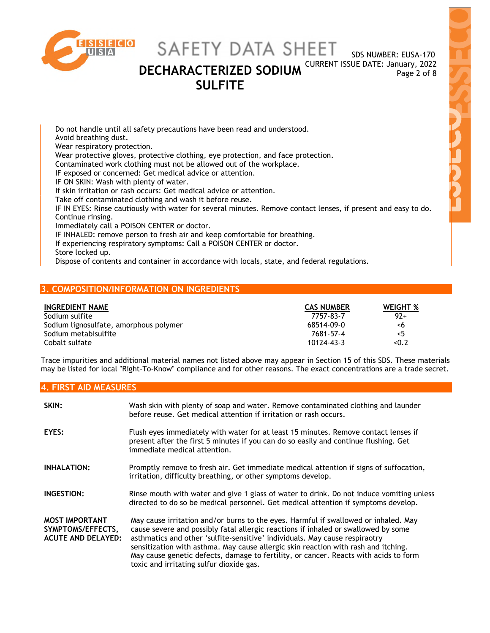

SDS NUMBER: EUSA-170

**DECHARACTERIZED SODIUM** CURRENT ISSUE DATE: January, 2022 **SULFITE** 

Do not handle until all safety precautions have been read and understood. Avoid breathing dust. Wear respiratory protection. Wear protective gloves, protective clothing, eye protection, and face protection. Contaminated work clothing must not be allowed out of the workplace. IF exposed or concerned: Get medical advice or attention. IF ON SKIN: Wash with plenty of water. If skin irritation or rash occurs: Get medical advice or attention. Take off contaminated clothing and wash it before reuse. IF IN EYES: Rinse cautiously with water for several minutes. Remove contact lenses, if present and easy to do. Continue rinsing. Immediately call a POISON CENTER or doctor. IF INHALED: remove person to fresh air and keep comfortable for breathing. If experiencing respiratory symptoms: Call a POISON CENTER or doctor. Store locked up.

Dispose of contents and container in accordance with locals, state, and federal regulations.

# **3. COMPOSITION/INFORMATION ON INGREDIENTS**

| INGREDIENT NAME                        | <b>CAS NUMBER</b> | <b>WEIGHT %</b> |
|----------------------------------------|-------------------|-----------------|
| Sodium sulfite                         | 7757-83-7         | $92+$           |
| Sodium lignosulfate, amorphous polymer | 68514-09-0        | -6              |
| Sodium metabisulfite                   | 7681-57-4         | $\leq 5$        |
| Cobalt sulfate                         | 10124-43-3        | < 0.2           |

Trace impurities and additional material names not listed above may appear in Section 15 of this SDS. These materials may be listed for local "Right-To-Know" compliance and for other reasons. The exact concentrations are a trade secret.

### **4. FIRST AID MEASURES**

| SKIN:                                                                   | Wash skin with plenty of soap and water. Remove contaminated clothing and launder<br>before reuse. Get medical attention if irritation or rash occurs.                                                                                                                                                                                                                                                                                                                             |
|-------------------------------------------------------------------------|------------------------------------------------------------------------------------------------------------------------------------------------------------------------------------------------------------------------------------------------------------------------------------------------------------------------------------------------------------------------------------------------------------------------------------------------------------------------------------|
| EYES:                                                                   | Flush eyes immediately with water for at least 15 minutes. Remove contact lenses if<br>present after the first 5 minutes if you can do so easily and continue flushing. Get<br>immediate medical attention.                                                                                                                                                                                                                                                                        |
| <b>INHALATION:</b>                                                      | Promptly remove to fresh air. Get immediate medical attention if signs of suffocation,<br>irritation, difficulty breathing, or other symptoms develop.                                                                                                                                                                                                                                                                                                                             |
| INGESTION:                                                              | Rinse mouth with water and give 1 glass of water to drink. Do not induce vomiting unless<br>directed to do so be medical personnel. Get medical attention if symptoms develop.                                                                                                                                                                                                                                                                                                     |
| <b>MOST IMPORTANT</b><br>SYMPTOMS/EFFECTS,<br><b>ACUTE AND DELAYED:</b> | May cause irritation and/or burns to the eyes. Harmful if swallowed or inhaled. May<br>cause severe and possibly fatal allergic reactions if inhaled or swallowed by some<br>asthmatics and other 'sulfite-sensitive' individuals. May cause respiraotry<br>sensitization with asthma. May cause allergic skin reaction with rash and itching.<br>May cause genetic defects, damage to fertility, or cancer. Reacts with acids to form<br>toxic and irritating sulfur dioxide gas. |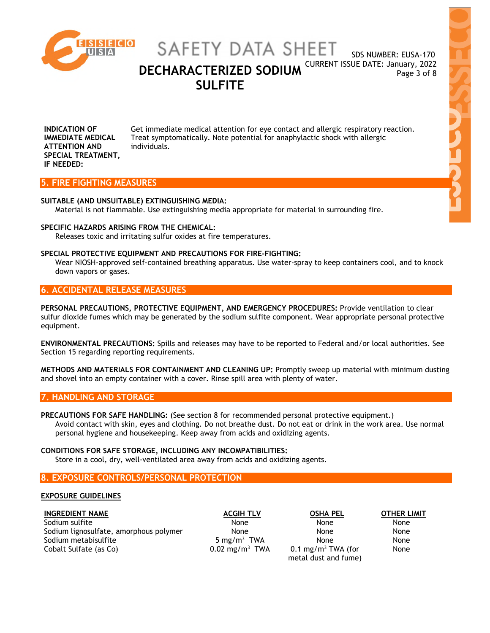

SDS NUMBER: EUSA-170

**DECHARACTERIZED SODIUM** CURRENT ISSUE DATE: January, 2022 **SULFITE** 

**INDICATION OF IMMEDIATE MEDICAL ATTENTION AND SPECIAL TREATMENT, IF NEEDED:** Get immediate medical attention for eye contact and allergic respiratory reaction. Treat symptomatically. Note potential for anaphylactic shock with allergic individuals.

### **5. FIRE FIGHTING MEASURES**

### **SUITABLE (AND UNSUITABLE) EXTINGUISHING MEDIA:**

Material is not flammable. Use extinguishing media appropriate for material in surrounding fire.

### **SPECIFIC HAZARDS ARISING FROM THE CHEMICAL:**

Releases toxic and irritating sulfur oxides at fire temperatures.

### **SPECIAL PROTECTIVE EQUIPMENT AND PRECAUTIONS FOR FIRE-FIGHTING:**

Wear NIOSH-approved self-contained breathing apparatus. Use water-spray to keep containers cool, and to knock down vapors or gases.

# **6. ACCIDENTAL RELEASE MEASURES**

**PERSONAL PRECAUTIONS, PROTECTIVE EQUIPMENT, AND EMERGENCY PROCEDURES:** Provide ventilation to clear sulfur dioxide fumes which may be generated by the sodium sulfite component. Wear appropriate personal protective equipment.

**ENVIRONMENTAL PRECAUTIONS:** Spills and releases may have to be reported to Federal and/or local authorities. See Section 15 regarding reporting requirements.

**METHODS AND MATERIALS FOR CONTAINMENT AND CLEANING UP:** Promptly sweep up material with minimum dusting and shovel into an empty container with a cover. Rinse spill area with plenty of water.

### **7. HANDLING AND STORAGE**

**PRECAUTIONS FOR SAFE HANDLING:** (See section 8 for recommended personal protective equipment.) Avoid contact with skin, eyes and clothing. Do not breathe dust. Do not eat or drink in the work area. Use normal personal hygiene and housekeeping. Keep away from acids and oxidizing agents.

### **CONDITIONS FOR SAFE STORAGE, INCLUDING ANY INCOMPATIBILITIES:**

Store in a cool, dry, well-ventilated area away from acids and oxidizing agents.

# **8. EXPOSURE CONTROLS/PERSONAL PROTECTION**

### **EXPOSURE GUIDELINES**

**INGREDIENT NAME ACGIH TLV OSHA PEL OTHER LIMIT** Sodium sulfite None None None None None None None Sodium lignosulfate, amorphous polymer None None None None None None Sodium metabisulfite 5 mg/m<sup>3</sup> TWA<br>Cobalt Sulfate (as Co) 6 mg/m3 TWA 0.02 mg/m<sup>3</sup> TWA Cobalt Sulfate (as Co)

5 mg/m<sup>3</sup> TWA None None  $0.1 \text{ mg/m}^3$  TWA (for metal dust and fume)

None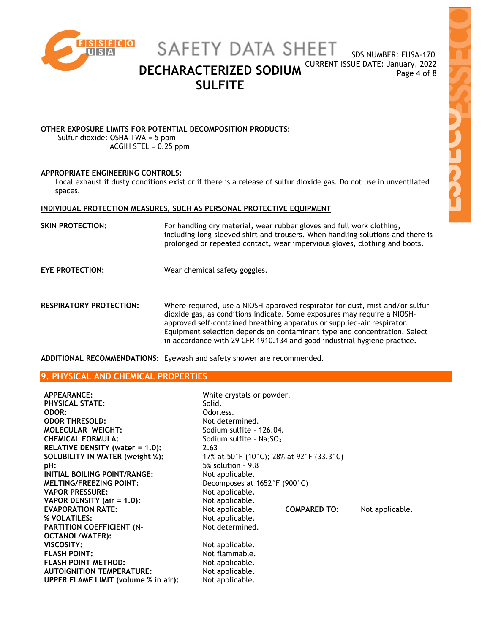

SAFETY DATA SHEET

SDS NUMBER: EUSA-170

**DECHARACTERIZED SODIUM** CURRENT ISSUE DATE: January, 2022 **SULFITE** 

NARCH

# **OTHER EXPOSURE LIMITS FOR POTENTIAL DECOMPOSITION PRODUCTS:**

Sulfur dioxide: OSHA TWA = 5 ppm ACGIH STEL =  $0.25$  ppm

# **APPROPRIATE ENGINEERING CONTROLS:**

Local exhaust if dusty conditions exist or if there is a release of sulfur dioxide gas. Do not use in unventilated spaces.

# **INDIVIDUAL PROTECTION MEASURES, SUCH AS PERSONAL PROTECTIVE EQUIPMENT**

| SKIN PROTECTION:       | For handling dry material, wear rubber gloves and full work clothing,<br>including long-sleeved shirt and trousers. When handling solutions and there is<br>prolonged or repeated contact, wear impervious gloves, clothing and boots. |
|------------------------|----------------------------------------------------------------------------------------------------------------------------------------------------------------------------------------------------------------------------------------|
| <b>EYE PROTECTION:</b> | Wear chemical safety goggles.                                                                                                                                                                                                          |

**RESPIRATORY PROTECTION:** Where required, use a NIOSH-approved respirator for dust, mist and/or sulfur dioxide gas, as conditions indicate. Some exposures may require a NIOSHapproved self-contained breathing apparatus or supplied-air respirator. Equipment selection depends on contaminant type and concentration. Select in accordance with 29 CFR 1910.134 and good industrial hygiene practice.

**ADDITIONAL RECOMMENDATIONS:** Eyewash and safety shower are recommended.

# **9. PHYSICAL AND CHEMICAL PROPERTIES**

| <b>APPEARANCE:</b>                   | White crystals or powder.                         |                     |                 |
|--------------------------------------|---------------------------------------------------|---------------------|-----------------|
| <b>PHYSICAL STATE:</b>               | Solid.                                            |                     |                 |
| <b>ODOR:</b>                         | Odorless.                                         |                     |                 |
| <b>ODOR THRESOLD:</b>                | Not determined.                                   |                     |                 |
| <b>MOLECULAR WEIGHT:</b>             | Sodium sulfite - 126.04.                          |                     |                 |
| <b>CHEMICAL FORMULA:</b>             | Sodium sulfite - $Na2SO3$                         |                     |                 |
| RELATIVE DENSITY (water = 1.0):      | 2.63                                              |                     |                 |
| SOLUBILITY IN WATER (weight %):      | 17% at 50°F (10°C); 28% at 92°F (33.3°C)          |                     |                 |
| pH:                                  | $5\%$ solution - 9.8                              |                     |                 |
| INITIAL BOILING POINT/RANGE:         | Not applicable.                                   |                     |                 |
| <b>MELTING/FREEZING POINT:</b>       | Decomposes at $1652^{\circ}$ F (900 $^{\circ}$ C) |                     |                 |
| <b>VAPOR PRESSURE:</b>               | Not applicable.                                   |                     |                 |
| VAPOR DENSITY (air = 1.0):           | Not applicable.                                   |                     |                 |
| <b>EVAPORATION RATE:</b>             | Not applicable.                                   | <b>COMPARED TO:</b> | Not applicable. |
| % VOLATILES:                         | Not applicable.                                   |                     |                 |
| <b>PARTITION COEFFICIENT (N-</b>     | Not determined.                                   |                     |                 |
| OCTANOL/WATER):                      |                                                   |                     |                 |
| VISCOSITY:                           | Not applicable.                                   |                     |                 |
| <b>FLASH POINT:</b>                  | Not flammable.                                    |                     |                 |
| <b>FLASH POINT METHOD:</b>           | Not applicable.                                   |                     |                 |
| <b>AUTOIGNITION TEMPERATURE:</b>     | Not applicable.                                   |                     |                 |
| UPPER FLAME LIMIT (volume % in air): | Not applicable.                                   |                     |                 |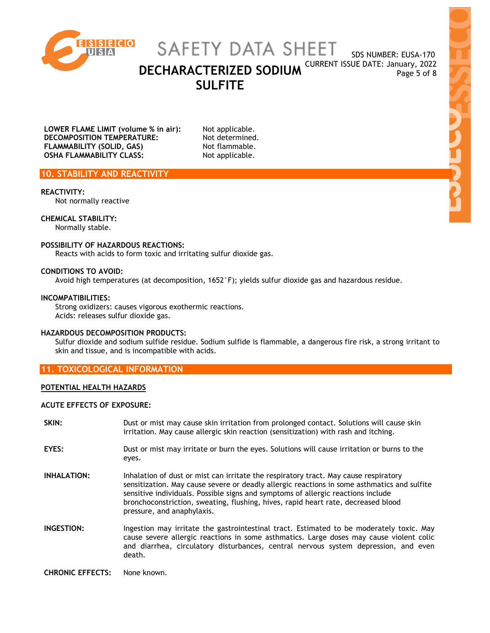

SAFETY DATA SHEET

SDS NUMBER: EUSA-170

 $\frac{1}{2}$ 

**DECHARACTERIZED SODIUM** CURRENT ISSUE DATE: January, 2022 **SULFITE** 

**LOWER FLAME LIMIT (volume % in air):** Not applicable.<br>**DECOMPOSITION TEMPERATURE:** Not determined. **DECOMPOSITION TEMPERATURE: FLAMMABILITY (SOLID, GAS)** Not flammable. **OSHA FLAMMABILITY CLASS:** Not applicable.

# **10. STABILITY AND REACTIVITY**

### **REACTIVITY:**

Not normally reactive

### **CHEMICAL STABILITY:**

Normally stable.

### **POSSIBILITY OF HAZARDOUS REACTIONS:**

Reacts with acids to form toxic and irritating sulfur dioxide gas.

### **CONDITIONS TO AVOID:**

Avoid high temperatures (at decomposition, 1652°F); yields sulfur dioxide gas and hazardous residue.

### **INCOMPATIBILITIES:**

Strong oxidizers: causes vigorous exothermic reactions. Acids: releases sulfur dioxide gas.

### **HAZARDOUS DECOMPOSITION PRODUCTS:**

Sulfur dioxide and sodium sulfide residue. Sodium sulfide is flammable, a dangerous fire risk, a strong irritant to skin and tissue, and is incompatible with acids.

### **11. TOXICOLOGICAL INFORMATION**

### **POTENTIAL HEALTH HAZARDS**

### **ACUTE EFFECTS OF EXPOSURE:**

**SKIN:** Dust or mist may cause skin irritation from prolonged contact. Solutions will cause skin irritation. May cause allergic skin reaction (sensitization) with rash and itching. **EYES:** Dust or mist may irritate or burn the eyes. Solutions will cause irritation or burns to the eyes. **INHALATION:** Inhalation of dust or mist can irritate the respiratory tract. May cause respiratory sensitization. May cause severe or deadly allergic reactions in some asthmatics and sulfite sensitive individuals. Possible signs and symptoms of allergic reactions include bronchoconstriction, sweating, flushing, hives, rapid heart rate, decreased blood pressure, and anaphylaxis. **INGESTION:** Ingestion may irritate the gastrointestinal tract. Estimated to be moderately toxic. May cause severe allergic reactions in some asthmatics. Large doses may cause violent colic and diarrhea, circulatory disturbances, central nervous system depression, and even death. **CHRONIC EFFECTS:** None known.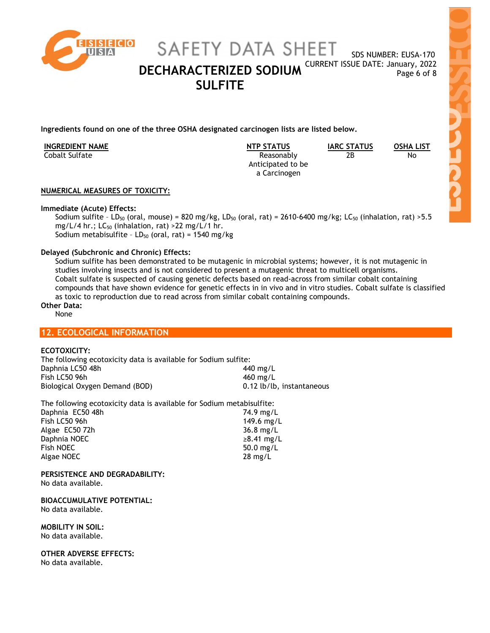

SDS NUMBER: EUSA-170 **DECHARACTERIZED SODIUM** CURRENT ISSUE DATE: January, 2022

**Ingredients found on one of the three OSHA designated carcinogen lists are listed below.** 

| <b>INGREDIENT NAME</b> | <b>NTP STATUS</b> | <b>IARC STATUS</b> | <b>OSHA LIST</b> |
|------------------------|-------------------|--------------------|------------------|
| Cobalt Sulfate         | Reasonably        | 2В                 | No               |
|                        | Anticipated to be |                    |                  |
|                        | a Carcinogen      |                    |                  |

2B No

# **NUMERICAL MEASURES OF TOXICITY:**

## **Immediate (Acute) Effects:**

Sodium sulfite - LD<sub>50</sub> (oral, mouse) = 820 mg/kg, LD<sub>50</sub> (oral, rat) = 2610-6400 mg/kg; LC<sub>50</sub> (inhalation, rat) >5.5 mg/L/4 hr.; LC<sub>50</sub> (inhalation, rat) > 22 mg/L/1 hr. Sodium metabisulfite -  $LD_{50}$  (oral, rat) = 1540 mg/kg

# **Delayed (Subchronic and Chronic) Effects:**

Sodium sulfite has been demonstrated to be mutagenic in microbial systems; however, it is not mutagenic in studies involving insects and is not considered to present a mutagenic threat to multicell organisms. Cobalt sulfate is suspected of causing genetic defects based on read-across from similar cobalt containing compounds that have shown evidence for genetic effects in in vivo and in vitro studies. Cobalt sulfate is classified as toxic to reproduction due to read across from similar cobalt containing compounds. **Other Data:** 

None

# **12. ECOLOGICAL INFORMATION**

# **ECOTOXICITY:**

The following ecotoxicity data is available for Sodium sulfite: Daphnia LC50 48h 440 mg/L Fish LC50 96h 460 mg/L Biological Oxygen Demand (BOD) 0.12 lb/lb, instantaneous

The following ecotoxicity data is available for Sodium metabisulfite:

| Daphnia EC50 48h | 74.9 mg/L           |
|------------------|---------------------|
| Fish LC50 96h    | 149.6 mg/L          |
| Algae EC50 72h   | $36.8 \text{ mg/L}$ |
| Daphnia NOEC     | $\geq 8.41$ mg/L    |
| Fish NOEC        | 50.0 $mg/L$         |
| Algae NOEC       | $28 \text{ mg/L}$   |
|                  |                     |

**PERSISTENCE AND DEGRADABILITY:**  No data available.

**BIOACCUMULATIVE POTENTIAL:**  No data available.

**MOBILITY IN SOIL:**  No data available.

**OTHER ADVERSE EFFECTS:** 

No data available.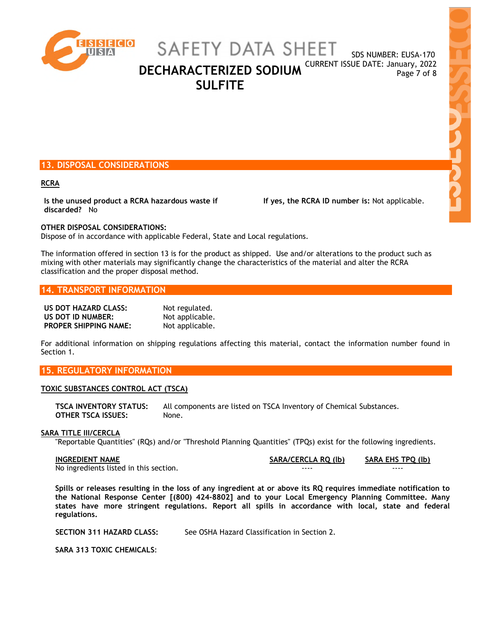

SAFETY DATA SHEET

SDS NUMBER: EUSA-170 **DECHARACTERIZED SODIUM** CURRENT ISSUE DATE: January, 2022

**SULFITE** 

# **13. DISPOSAL CONSIDERATIONS**

### **RCRA**

**Is the unused product a RCRA hazardous waste if discarded?** No

 **If yes, the RCRA ID number is:** Not applicable.

### **OTHER DISPOSAL CONSIDERATIONS:**

Dispose of in accordance with applicable Federal, State and Local regulations.

The information offered in section 13 is for the product as shipped. Use and/or alterations to the product such as mixing with other materials may significantly change the characteristics of the material and alter the RCRA classification and the proper disposal method.

# **14. TRANSPORT INFORMATION**

| US DOT HAZARD CLASS:         | Not regulated.  |
|------------------------------|-----------------|
| US DOT ID NUMBER:            | Not applicable. |
| <b>PROPER SHIPPING NAME:</b> | Not applicable. |

For additional information on shipping regulations affecting this material, contact the information number found in Section 1.

# **15. REGULATORY INFORMATION**

### **TOXIC SUBSTANCES CONTROL ACT (TSCA)**

**TSCA INVENTORY STATUS:** All components are listed on TSCA Inventory of Chemical Substances. **OTHER TSCA ISSUES:** None.

### **SARA TITLE III/CERCLA**

"Reportable Quantities" (RQs) and/or "Threshold Planning Quantities" (TPQs) exist for the following ingredients.

No ingredients listed in this section.

**INGREDIENT NAME SARA/CERCLA RQ (lb) SARA EHS TPQ (lb)**

**Spills or releases resulting in the loss of any ingredient at or above its RQ requires immediate notification to the National Response Center [(800) 424-8802] and to your Local Emergency Planning Committee. Many states have more stringent regulations. Report all spills in accordance with local, state and federal regulations.** 

**SECTION 311 HAZARD CLASS:** See OSHA Hazard Classification in Section 2.

**SARA 313 TOXIC CHEMICALS**: